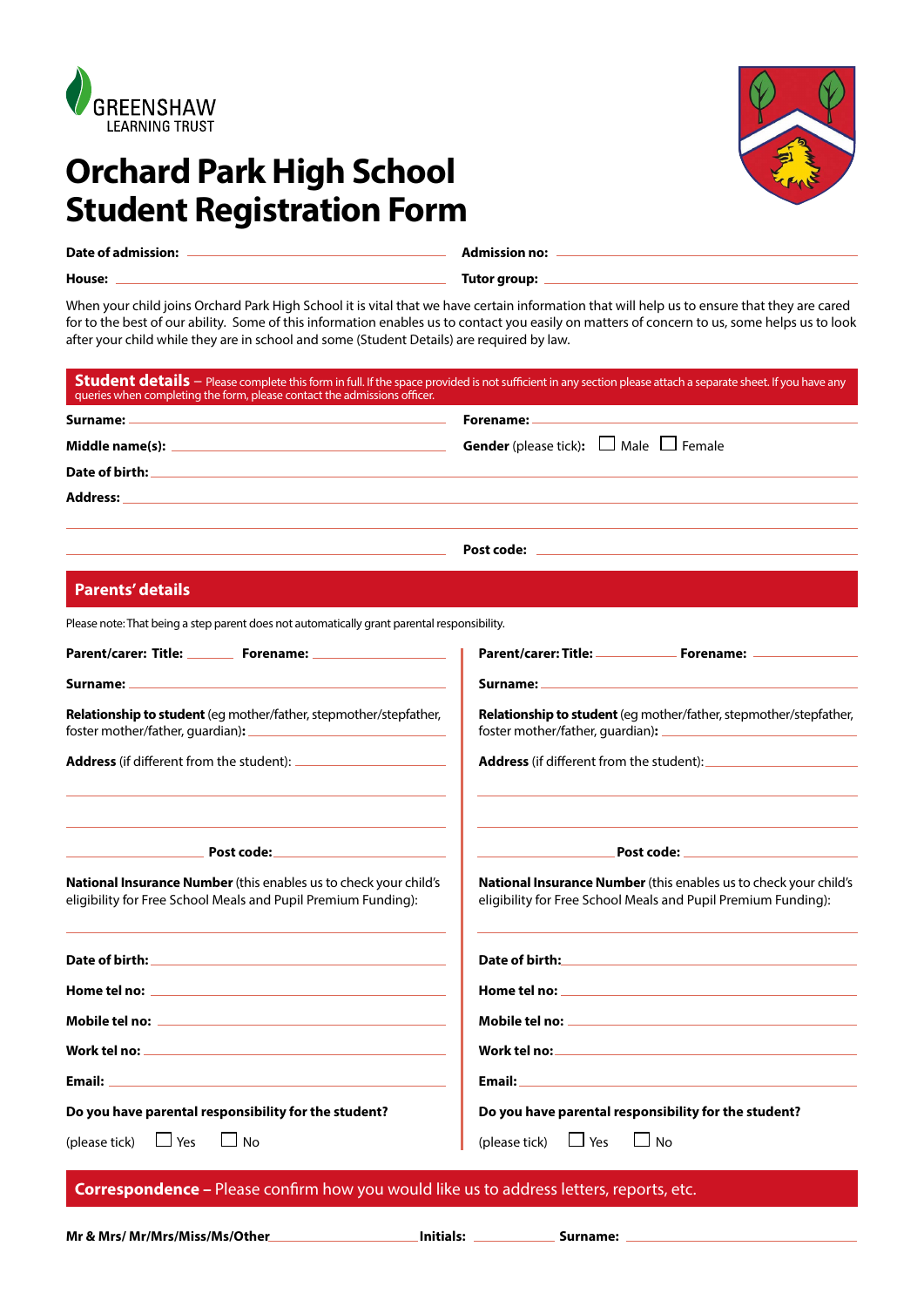

# **Orchard Park High School Student Registration Form**

| Date of admission: |  |  |
|--------------------|--|--|
|                    |  |  |

**Admission no:** 

**House: Tutor group:**

When your child joins Orchard Park High School it is vital that we have certain information that will help us to ensure that they are cared for to the best of our ability. Some of this information enables us to contact you easily on matters of concern to us, some helps us to look after your child while they are in school and some (Student Details) are required by law.

| Student details - Please complete this form in full. If the space provided is not sufficient in any section please attach a separate sheet. If you have any queries when completing the form, please contact the admissions of       |                                                                                                                                                                                                                                     |  |
|--------------------------------------------------------------------------------------------------------------------------------------------------------------------------------------------------------------------------------------|-------------------------------------------------------------------------------------------------------------------------------------------------------------------------------------------------------------------------------------|--|
| Surname: _                                                                                                                                                                                                                           | Forename: -                                                                                                                                                                                                                         |  |
| Middle name(s): Note and the set of the set of the set of the set of the set of the set of the set of the set o                                                                                                                      | <b>Gender</b> (please tick): $\Box$ Male $\Box$ Female                                                                                                                                                                              |  |
|                                                                                                                                                                                                                                      |                                                                                                                                                                                                                                     |  |
| Address:                                                                                                                                                                                                                             |                                                                                                                                                                                                                                     |  |
|                                                                                                                                                                                                                                      |                                                                                                                                                                                                                                     |  |
| <b>Parents' details</b>                                                                                                                                                                                                              |                                                                                                                                                                                                                                     |  |
| Please note: That being a step parent does not automatically grant parental responsibility.                                                                                                                                          |                                                                                                                                                                                                                                     |  |
|                                                                                                                                                                                                                                      |                                                                                                                                                                                                                                     |  |
| Surname: North and Surname and Surname and Surname and Surname and Surname and Surname and Surname and Surname                                                                                                                       | Surname: __                                                                                                                                                                                                                         |  |
| <b>Relationship to student</b> (eg mother/father, stepmother/stepfather,                                                                                                                                                             | Relationship to student (eg mother/father, stepmother/stepfather,                                                                                                                                                                   |  |
|                                                                                                                                                                                                                                      | <b>Address</b> (if different from the student):                                                                                                                                                                                     |  |
| <u>Post code: _______________________</u>                                                                                                                                                                                            |                                                                                                                                                                                                                                     |  |
| <b>National Insurance Number</b> (this enables us to check your child's<br>eligibility for Free School Meals and Pupil Premium Funding):                                                                                             | <b>National Insurance Number</b> (this enables us to check your child's<br>eligibility for Free School Meals and Pupil Premium Funding):                                                                                            |  |
|                                                                                                                                                                                                                                      |                                                                                                                                                                                                                                     |  |
| Home tel no:                                                                                                                                                                                                                         |                                                                                                                                                                                                                                     |  |
| Mobile tel no: when the contract of the contract of the contract of the contract of the contract of the contract of the contract of the contract of the contract of the contract of the contract of the contract of the contra       |                                                                                                                                                                                                                                     |  |
|                                                                                                                                                                                                                                      |                                                                                                                                                                                                                                     |  |
| Email: <u>Alexander Alexander and Alexander Alexander and Alexander and Alexander and Alexander and Alexander and Alexander and Alexander and Alexander and Alexander and Alexander and Alexander and Alexander and Alexander an</u> | <b>Email:</b> Email: All and the second contract of the second contract of the second contract of the second contract of the second contract of the second contract of the second contract of the second contract of the second con |  |
| Do you have parental responsibility for the student?                                                                                                                                                                                 | Do you have parental responsibility for the student?                                                                                                                                                                                |  |
| (please tick) $\Box$ Yes $\Box$ No                                                                                                                                                                                                   | (please tick) $\Box$ Yes<br>$\Box$ No                                                                                                                                                                                               |  |
|                                                                                                                                                                                                                                      |                                                                                                                                                                                                                                     |  |

**Correspondence –** Please confirm how you would like us to address letters, reports, etc.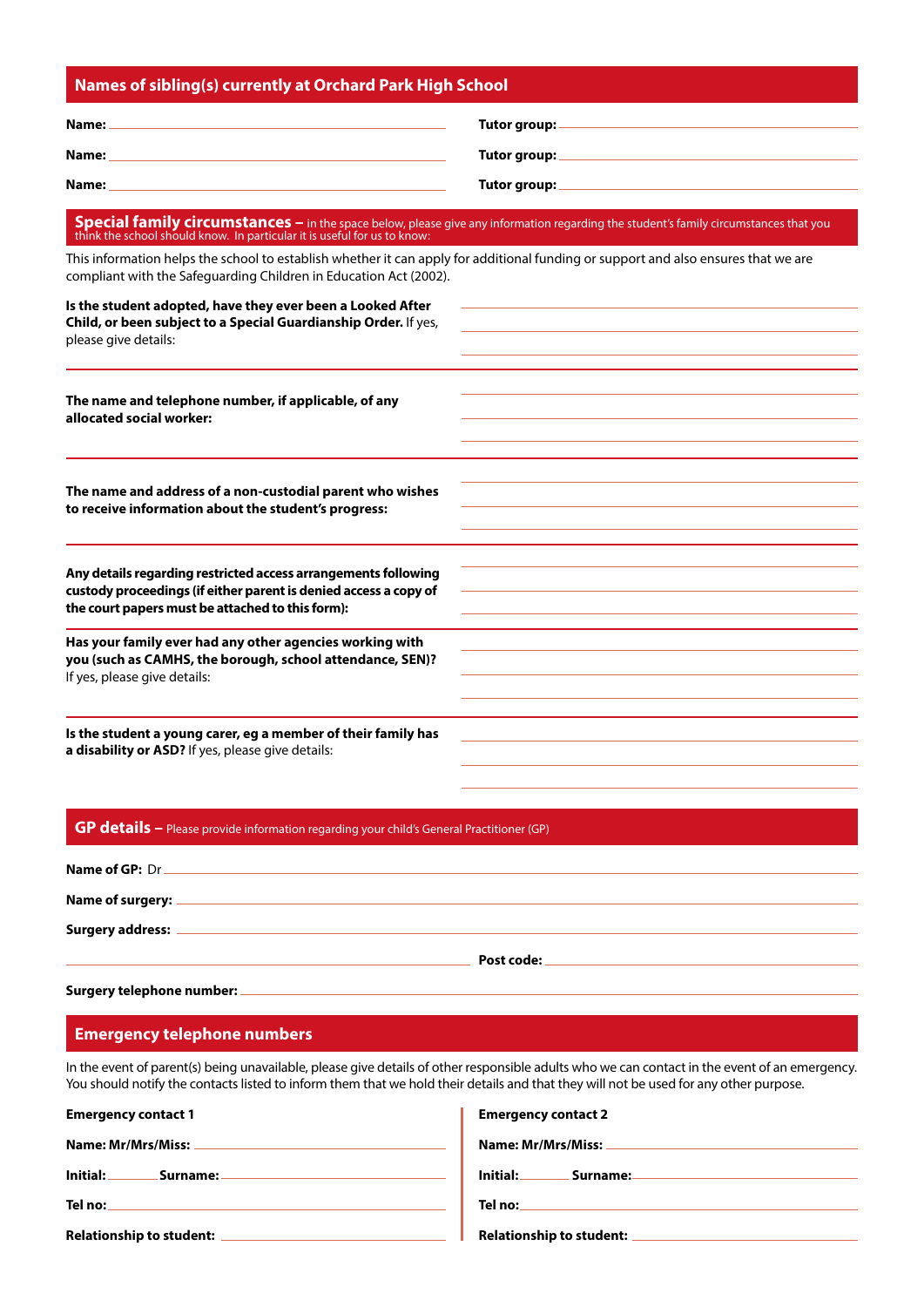|  |  | Names of sibling(s) currently at Orchard Park High School <sub>i</sub> |  |
|--|--|------------------------------------------------------------------------|--|
|--|--|------------------------------------------------------------------------|--|

| Name: | Tutor group: - |
|-------|----------------|
| Name: | Tutor group: _ |
| Name: | Tutor group: _ |

# **Special family circumstances –** in the space below, please give any information regarding the student's family circumstances that you think the school should know. In particular it is useful for us to know:

This information helps the school to establish whether it can apply for additional funding or support and also ensures that we are compliant with the Safeguarding Children in Education Act (2002).

| Is the student adopted, have they ever been a Looked After<br>Child, or been subject to a Special Guardianship Order. If yes,<br>please give details:                                  |  |
|----------------------------------------------------------------------------------------------------------------------------------------------------------------------------------------|--|
| The name and telephone number, if applicable, of any<br>allocated social worker:                                                                                                       |  |
| The name and address of a non-custodial parent who wishes<br>to receive information about the student's progress:                                                                      |  |
| Any details regarding restricted access arrangements following<br>custody proceedings (if either parent is denied access a copy of<br>the court papers must be attached to this form): |  |
| Has your family ever had any other agencies working with<br>you (such as CAMHS, the borough, school attendance, SEN)?<br>If yes, please give details:                                  |  |
| Is the student a young carer, eg a member of their family has<br>a disability or ASD? If yes, please give details:                                                                     |  |

#### **GP details –** Please provide information regarding your child's General Practitioner (GP)

| Name of GP: Dr          |            |
|-------------------------|------------|
| Name of surgery: _      |            |
| <b>Surgery address:</b> |            |
|                         | Post code: |

#### **Surgery telephone number:**

#### **Emergency telephone numbers**

In the event of parent(s) being unavailable, please give details of other responsible adults who we can contact in the event of an emergency. You should notify the contacts listed to inform them that we hold their details and that they will not be used for any other purpose.

| <b>Emergency contact 1</b>      | <b>Emergency contact 2</b>      |
|---------------------------------|---------------------------------|
| <b>Name: Mr/Mrs/Miss:</b>       | Name: Mr/Mrs/Miss:              |
| Initial:<br>.Surname: .         | Initial:<br>Surname:            |
| Tel no:                         | Tel no:                         |
| <b>Relationship to student:</b> | <b>Relationship to student:</b> |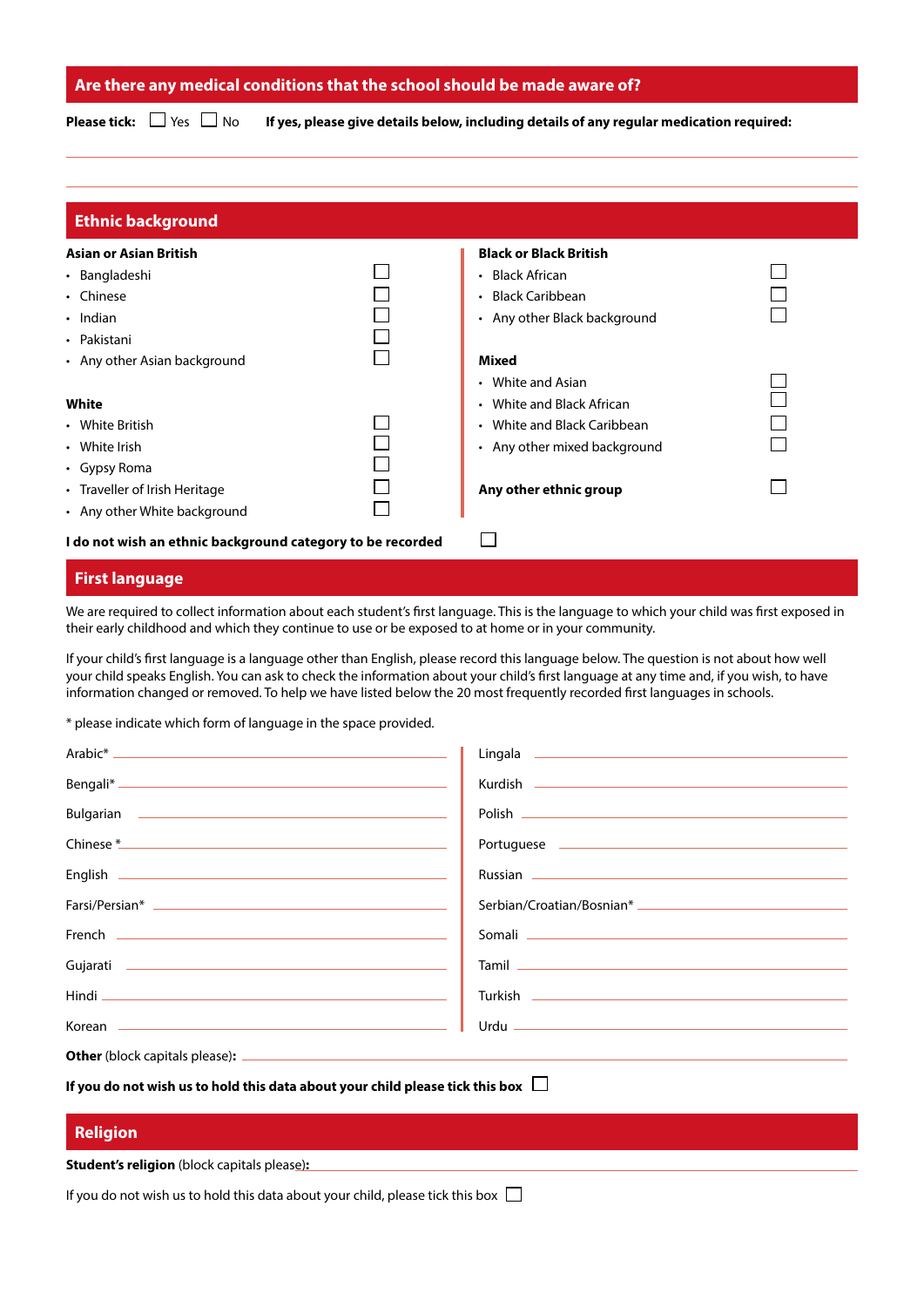#### **Are there any medical conditions that the school should be made aware of?**

**Please tick:**  $\Box$  Yes  $\Box$  No **If yes, please give details below, including details of any regular medication required:** 

| <b>Ethnic background</b>                                   |                                        |  |
|------------------------------------------------------------|----------------------------------------|--|
| <b>Asian or Asian British</b>                              | <b>Black or Black British</b>          |  |
| • Bangladeshi                                              | • Black African                        |  |
| • Chinese                                                  | • Black Caribbean                      |  |
| $\cdot$ Indian                                             | • Any other Black background           |  |
| • Pakistani                                                |                                        |  |
| • Any other Asian background                               | <b>Mixed</b>                           |  |
|                                                            | • White and Asian                      |  |
| White                                                      | White and Black African<br>$\bullet$   |  |
| • White British                                            | White and Black Caribbean<br>$\bullet$ |  |
| • White Irish                                              | • Any other mixed background           |  |
| • Gypsy Roma                                               |                                        |  |
| • Traveller of Irish Heritage                              | Any other ethnic group                 |  |
| • Any other White background                               |                                        |  |
| I do not wish an ethnic background category to be recorded |                                        |  |

### **First language**

We are required to collect information about each student's first language. This is the language to which your child was first exposed in their early childhood and which they continue to use or be exposed to at home or in your community.

If your child's first language is a language other than English, please record this language below. The question is not about how well your child speaks English. You can ask to check the information about your child's first language at any time and, if you wish, to have information changed or removed. To help we have listed below the 20 most frequently recorded first languages in schools.

\* please indicate which form of language in the space provided.

|                                                                                      | Polish                                                                                                         |  |
|--------------------------------------------------------------------------------------|----------------------------------------------------------------------------------------------------------------|--|
|                                                                                      |                                                                                                                |  |
|                                                                                      |                                                                                                                |  |
|                                                                                      |                                                                                                                |  |
|                                                                                      |                                                                                                                |  |
|                                                                                      | Tamil 2008 2009 2010 2021 2022 2023 2024 2022 2022 2023 2024 2022 2023 2024 2022 2023 2024 2022 2023 2024 2023 |  |
|                                                                                      |                                                                                                                |  |
|                                                                                      |                                                                                                                |  |
|                                                                                      |                                                                                                                |  |
| If you do not wish us to hold this data about your child please tick this box $\Box$ |                                                                                                                |  |

# **Religion**

**Student's religion** (block capitals please)**:**

If you do not wish us to hold this data about your child, please tick this box  $\Box$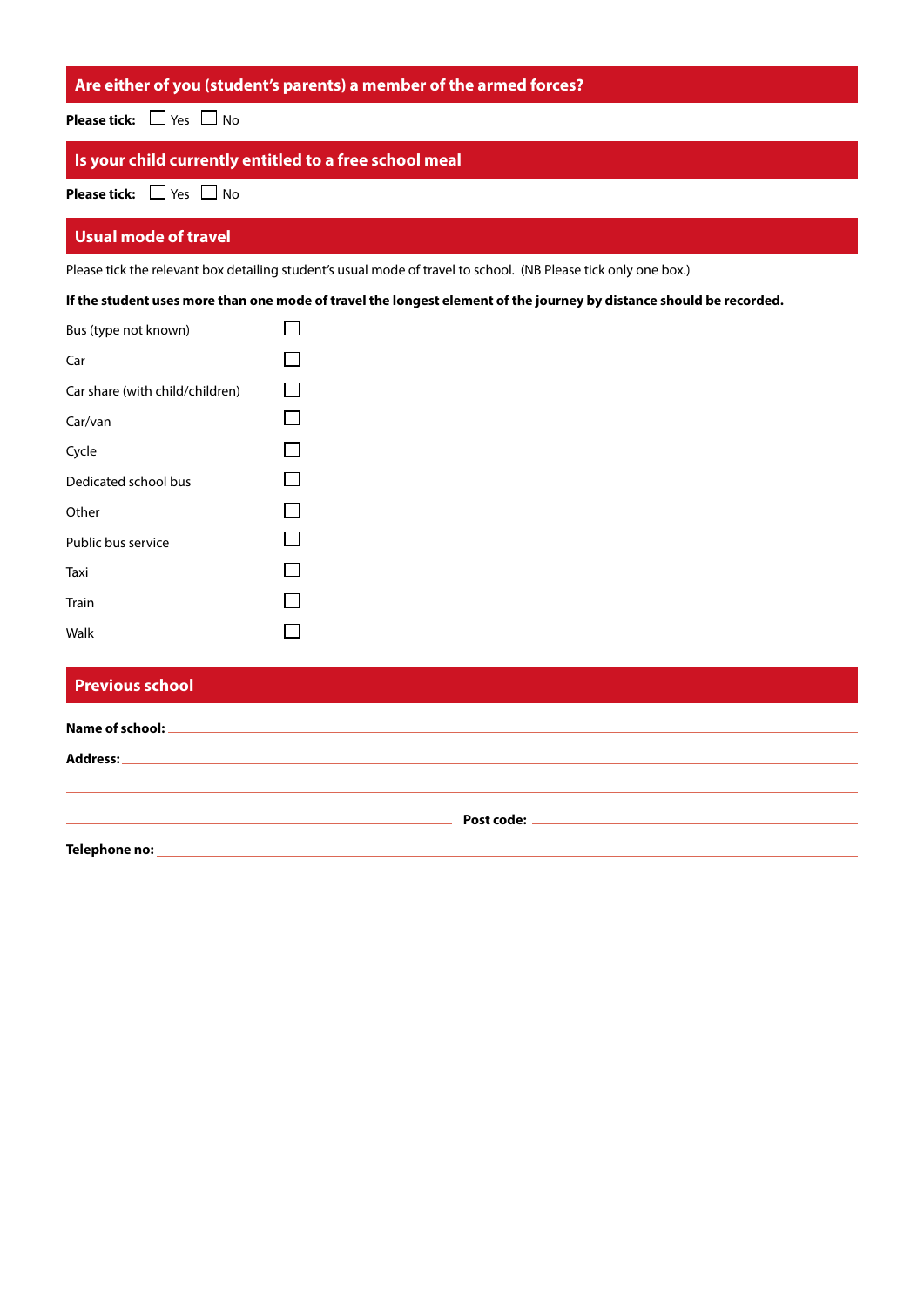## **Are either of you (student's parents) a member of the armed forces?**

**Please tick:** □ Yes □ No

# **Is your child currently entitled to a free school meal**

**Please tick:**  $\Box$  Yes  $\Box$  No

#### **Usual mode of travel**

Please tick the relevant box detailing student's usual mode of travel to school. (NB Please tick only one box.)

**If the student uses more than one mode of travel the longest element of the journey by distance should be recorded.**

| Bus (type not known)            |  |
|---------------------------------|--|
| Car                             |  |
| Car share (with child/children) |  |
| Car/van                         |  |
| Cycle                           |  |
| Dedicated school bus            |  |
| Other                           |  |
| Public bus service              |  |
| Taxi                            |  |
| Train                           |  |
| Walk                            |  |

| <b>Previous school</b>                                                                      |  |
|---------------------------------------------------------------------------------------------|--|
| Name of school: _<br><u> 1989 - Jan James James Barnett, amerikansk politiker (d. 1989)</u> |  |
| Address:<br><u> 1989 - Johann Stoff, amerikansk politiker (d. 1989)</u>                     |  |
|                                                                                             |  |
| Telephone no:                                                                               |  |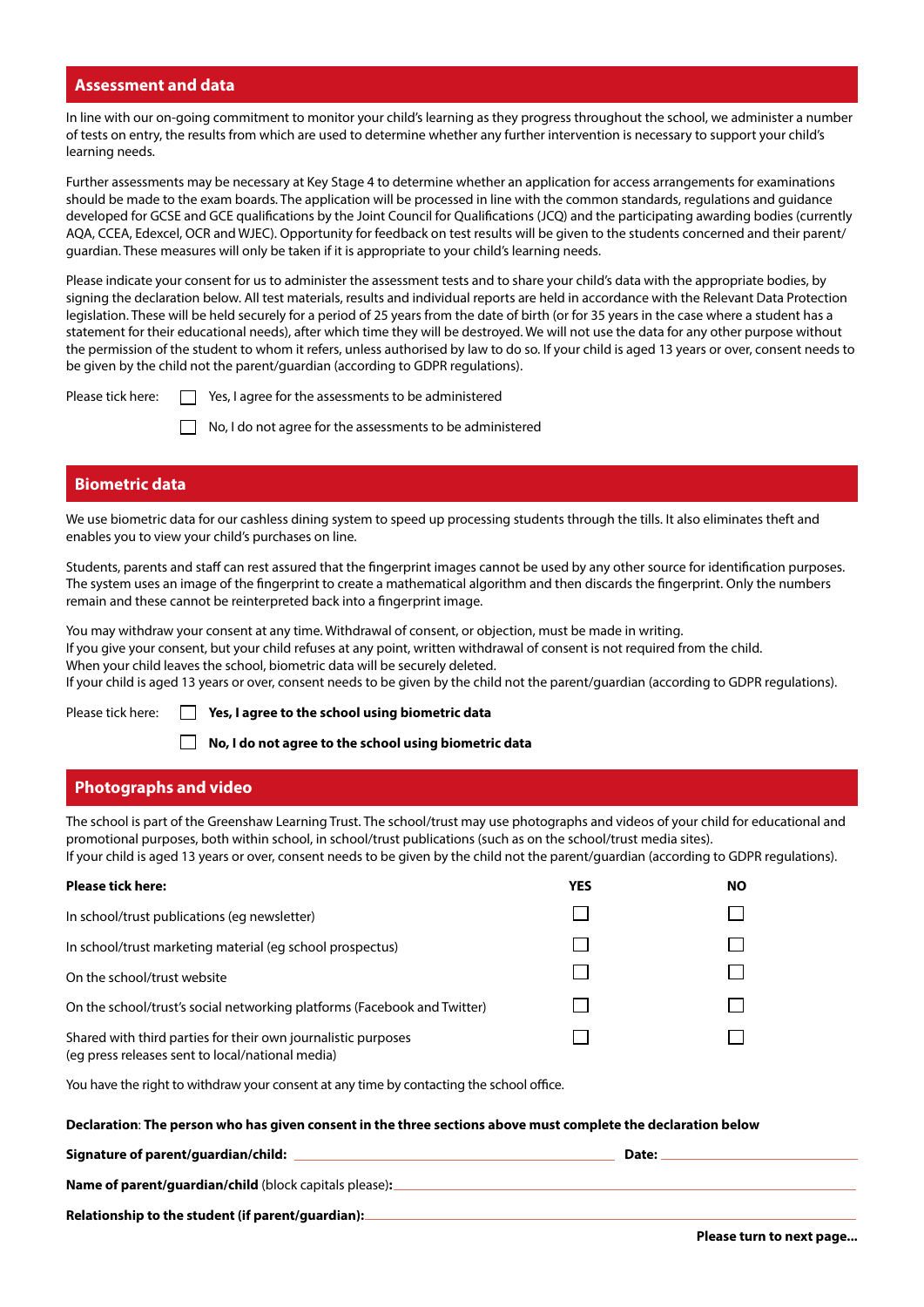#### **Assessment and data**

In line with our on-going commitment to monitor your child's learning as they progress throughout the school, we administer a number of tests on entry, the results from which are used to determine whether any further intervention is necessary to support your child's learning needs.

Further assessments may be necessary at Key Stage 4 to determine whether an application for access arrangements for examinations should be made to the exam boards. The application will be processed in line with the common standards, regulations and guidance developed for GCSE and GCE qualifications by the Joint Council for Qualifications (JCQ) and the participating awarding bodies (currently AQA, CCEA, Edexcel, OCR and WJEC). Opportunity for feedback on test results will be given to the students concerned and their parent/ guardian. These measures will only be taken if it is appropriate to your child's learning needs.

Please indicate your consent for us to administer the assessment tests and to share your child's data with the appropriate bodies, by signing the declaration below. All test materials, results and individual reports are held in accordance with the Relevant Data Protection legislation. These will be held securely for a period of 25 years from the date of birth (or for 35 years in the case where a student has a statement for their educational needs), after which time they will be destroyed. We will not use the data for any other purpose without the permission of the student to whom it refers, unless authorised by law to do so. If your child is aged 13 years or over, consent needs to be given by the child not the parent/guardian (according to GDPR regulations).

Please tick here:  $\Box$  Yes, I agree for the assessments to be administered

No, I do not agree for the assessments to be administered

#### **Biometric data**

We use biometric data for our cashless dining system to speed up processing students through the tills. It also eliminates theft and enables you to view your child's purchases on line.

Students, parents and staff can rest assured that the fingerprint images cannot be used by any other source for identification purposes. The system uses an image of the fingerprint to create a mathematical algorithm and then discards the fingerprint. Only the numbers remain and these cannot be reinterpreted back into a fingerprint image.

You may withdraw your consent at any time. Withdrawal of consent, or objection, must be made in writing. If you give your consent, but your child refuses at any point, written withdrawal of consent is not required from the child. When your child leaves the school, biometric data will be securely deleted. If your child is aged 13 years or over, consent needs to be given by the child not the parent/guardian (according to GDPR regulations).

Please tick here: **Yes, I agree to the school using biometric data**

**No, I do not agree to the school using biometric data**

#### **Photographs and video**

The school is part of the Greenshaw Learning Trust. The school/trust may use photographs and videos of your child for educational and promotional purposes, both within school, in school/trust publications (such as on the school/trust media sites). If your child is aged 13 years or over, consent needs to be given by the child not the parent/guardian (according to GDPR regulations).

| <b>Please tick here:</b>                                                                                          | YES | <b>NO</b> |
|-------------------------------------------------------------------------------------------------------------------|-----|-----------|
| In school/trust publications (eq newsletter)                                                                      |     |           |
| In school/trust marketing material (eg school prospectus)                                                         |     |           |
| On the school/trust website                                                                                       |     |           |
| On the school/trust's social networking platforms (Facebook and Twitter)                                          |     |           |
| Shared with third parties for their own journalistic purposes<br>(eq press releases sent to local/national media) |     |           |

You have the right to withdraw your consent at any time by contacting the school office.

#### **Declaration**: **The person who has given consent in the three sections above must complete the declaration below**

| Signature of parent/guardian/child:                           | Date: |
|---------------------------------------------------------------|-------|
| <b>Name of parent/quardian/child</b> (block capitals please): |       |
| Relationship to the student (if parent/guardian):             |       |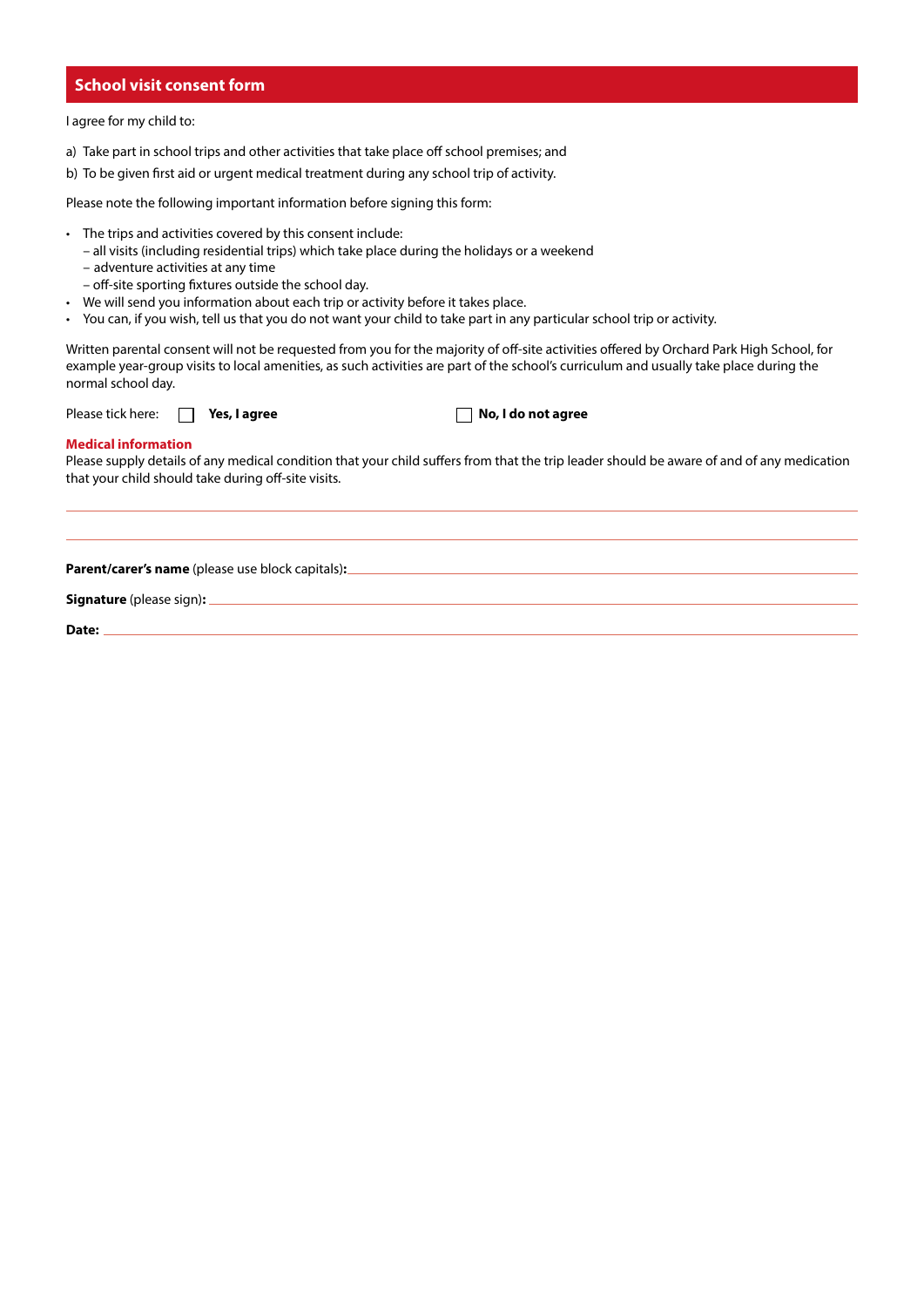#### **School visit consent form**

I agree for my child to:

- a) Take part in school trips and other activities that take place off school premises; and
- b) To be given first aid or urgent medical treatment during any school trip of activity.

Please note the following important information before signing this form:

- The trips and activities covered by this consent include:
	- all visits (including residential trips) which take place during the holidays or a weekend
	- adventure activities at any time
	- off-site sporting fixtures outside the school day.
- We will send you information about each trip or activity before it takes place.
- You can, if you wish, tell us that you do not want your child to take part in any particular school trip or activity.

Written parental consent will not be requested from you for the majority of off-site activities offered by Orchard Park High School, for example year-group visits to local amenities, as such activities are part of the school's curriculum and usually take place during the normal school day.

Please tick here:  $\Box$  **Yes, I agree No, I do not agree** 

#### **Medical information**

Please supply details of any medical condition that your child suffers from that the trip leader should be aware of and of any medication that your child should take during off-site visits.

**Parent/carer's name** (please use block capitals)**:** 

**Signature** (please sign)**:**

**Date:**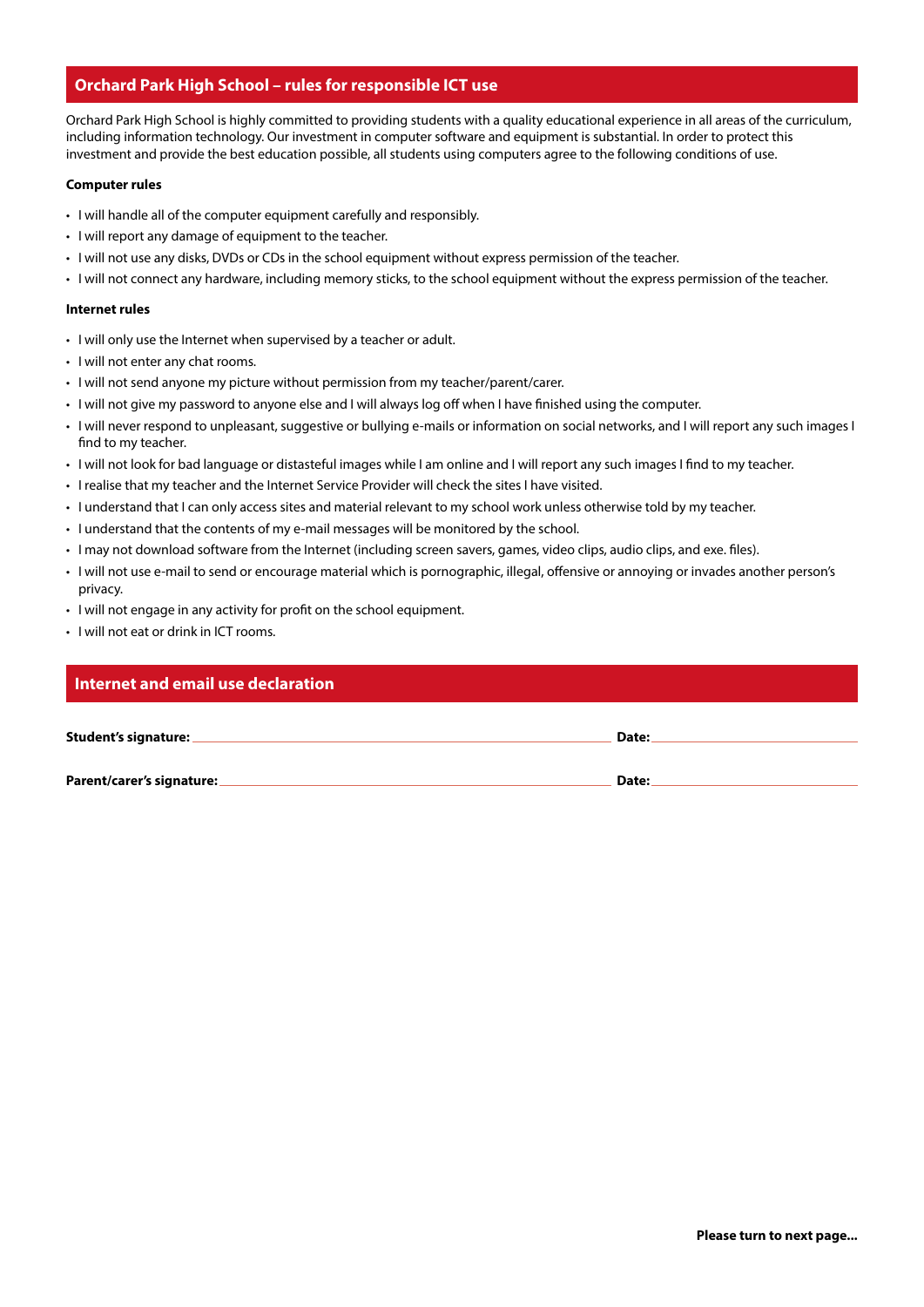## **Orchard Park High School – rules for responsible ICT use**

Orchard Park High School is highly committed to providing students with a quality educational experience in all areas of the curriculum, including information technology. Our investment in computer software and equipment is substantial. In order to protect this investment and provide the best education possible, all students using computers agree to the following conditions of use.

#### **Computer rules**

- I will handle all of the computer equipment carefully and responsibly.
- I will report any damage of equipment to the teacher.
- I will not use any disks, DVDs or CDs in the school equipment without express permission of the teacher.
- I will not connect any hardware, including memory sticks, to the school equipment without the express permission of the teacher.

#### **Internet rules**

- I will only use the Internet when supervised by a teacher or adult.
- I will not enter any chat rooms.
- I will not send anyone my picture without permission from my teacher/parent/carer.
- I will not give my password to anyone else and I will always log off when I have finished using the computer.
- I will never respond to unpleasant, suggestive or bullying e-mails or information on social networks, and I will report any such images I find to my teacher.
- I will not look for bad language or distasteful images while I am online and I will report any such images I find to my teacher.
- I realise that my teacher and the Internet Service Provider will check the sites I have visited.
- I understand that I can only access sites and material relevant to my school work unless otherwise told by my teacher.
- I understand that the contents of my e-mail messages will be monitored by the school.
- I may not download software from the Internet (including screen savers, games, video clips, audio clips, and exe. files).
- I will not use e-mail to send or encourage material which is pornographic, illegal, offensive or annoying or invades another person's privacy.
- I will not engage in any activity for profit on the school equipment.
- I will not eat or drink in ICT rooms.

#### **Internet and email use declaration**

| Student's signature: _ | Date: |  |
|------------------------|-------|--|
|                        |       |  |
|                        |       |  |
|                        |       |  |

**Parent/carer's signature: Date:**